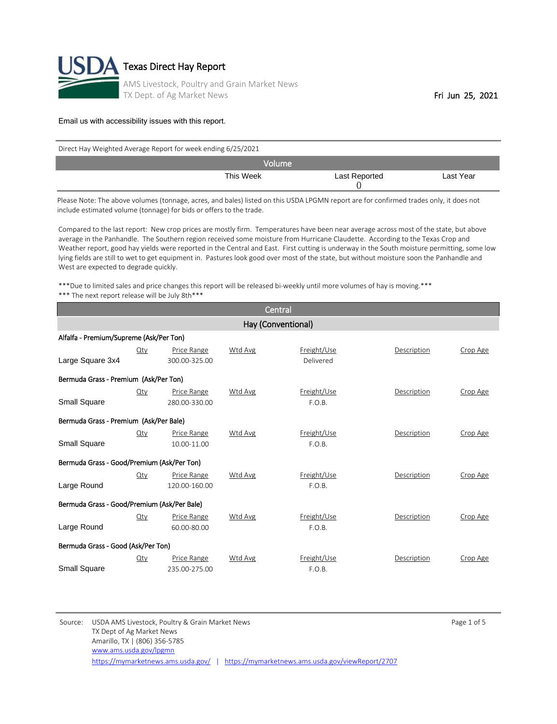

| Direct Hay Weighted Average Report for week ending 6/25/2021 |               |           |  |  |  |
|--------------------------------------------------------------|---------------|-----------|--|--|--|
| Volume                                                       |               |           |  |  |  |
| This Week                                                    | Last Reported | Last Year |  |  |  |

Please Note: The above volumes (tonnage, acres, and bales) listed on this USDA LPGMN report are for confirmed trades only, it does not include estimated volume (tonnage) for bids or offers to the trade.

Compared to the last report: New crop prices are mostly firm. Temperatures have been near average across most of the state, but above average in the Panhandle. The Southern region received some moisture from Hurricane Claudette. According to the Texas Crop and Weather report, good hay yields were reported in the Central and East. First cutting is underway in the South moisture permitting, some low lying fields are still to wet to get equipment in. Pastures look good over most of the state, but without moisture soon the Panhandle and West are expected to degrade quickly.

\*\*\*Due to limited sales and price changes this report will be released bi-weekly until more volumes of hay is moving.\*\*\* \*\*\* The next report release will be July 8th\*\*\*

|                                             |                    |                              |         | Central                  |             |          |  |  |
|---------------------------------------------|--------------------|------------------------------|---------|--------------------------|-------------|----------|--|--|
|                                             | Hay (Conventional) |                              |         |                          |             |          |  |  |
| Alfalfa - Premium/Supreme (Ask/Per Ton)     |                    |                              |         |                          |             |          |  |  |
| Large Square 3x4                            | $Q$ ty             | Price Range<br>300.00-325.00 | Wtd Avg | Freight/Use<br>Delivered | Description | Crop Age |  |  |
| Bermuda Grass - Premium (Ask/Per Ton)       |                    |                              |         |                          |             |          |  |  |
| Small Square                                | $Q$ ty             | Price Range<br>280.00-330.00 | Wtd Avg | Freight/Use<br>F.O.B.    | Description | Crop Age |  |  |
| Bermuda Grass - Premium (Ask/Per Bale)      |                    |                              |         |                          |             |          |  |  |
| Small Square                                | Qty                | Price Range<br>10.00-11.00   | Wtd Avg | Freight/Use<br>F.O.B.    | Description | Crop Age |  |  |
| Bermuda Grass - Good/Premium (Ask/Per Ton)  |                    |                              |         |                          |             |          |  |  |
| Large Round                                 | Qty                | Price Range<br>120.00-160.00 | Wtd Avg | Freight/Use<br>F.O.B.    | Description | Crop Age |  |  |
| Bermuda Grass - Good/Premium (Ask/Per Bale) |                    |                              |         |                          |             |          |  |  |
| Large Round                                 | $Q$ ty             | Price Range<br>60.00-80.00   | Wtd Avg | Freight/Use<br>F.O.B.    | Description | Crop Age |  |  |
| Bermuda Grass - Good (Ask/Per Ton)          |                    |                              |         |                          |             |          |  |  |
| Small Square                                | Qty                | Price Range<br>235.00-275.00 | Wtd Avg | Freight/Use<br>F.O.B.    | Description | Crop Age |  |  |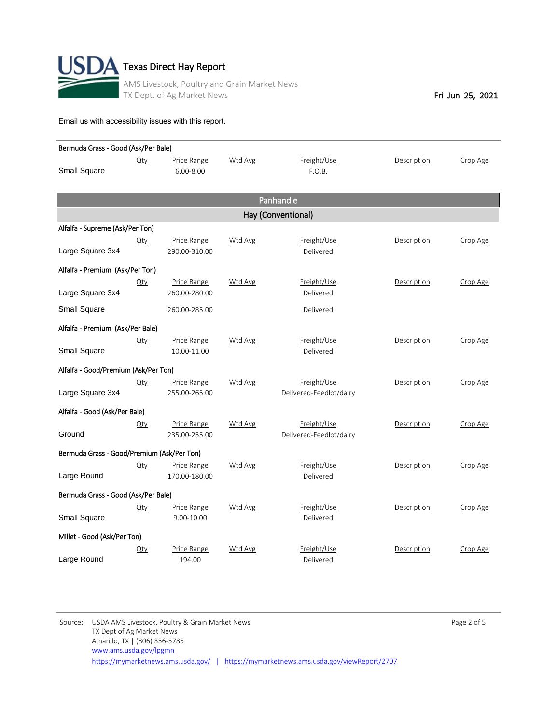

| Bermuda Grass - Good (Ask/Per Bale)        |             |               |         |                         |             |          |  |
|--------------------------------------------|-------------|---------------|---------|-------------------------|-------------|----------|--|
|                                            | Qty         | Price Range   | Wtd Avg | Freight/Use             | Description | Crop Age |  |
| <b>Small Square</b>                        |             | $6.00 - 8.00$ |         | F.O.B.                  |             |          |  |
|                                            |             |               |         |                         |             |          |  |
|                                            |             |               |         | Panhandle               |             |          |  |
|                                            |             |               |         | Hay (Conventional)      |             |          |  |
| Alfalfa - Supreme (Ask/Per Ton)            |             |               |         |                         |             |          |  |
|                                            | $\Omega$ ty | Price Range   | Wtd Avg | Freight/Use             | Description | Crop Age |  |
| Large Square 3x4                           |             | 290.00-310.00 |         | Delivered               |             |          |  |
| Alfalfa - Premium (Ask/Per Ton)            |             |               |         |                         |             |          |  |
|                                            | $Q$ ty      | Price Range   | Wtd Avg | Freight/Use             | Description | Crop Age |  |
| Large Square 3x4                           |             | 260.00-280.00 |         | Delivered               |             |          |  |
| <b>Small Square</b>                        |             | 260.00-285.00 |         | Delivered               |             |          |  |
| Alfalfa - Premium (Ask/Per Bale)           |             |               |         |                         |             |          |  |
|                                            | $Q$ ty      | Price Range   | Wtd Avg | Freight/Use             | Description | Crop Age |  |
| <b>Small Square</b>                        |             | 10.00-11.00   |         | Delivered               |             |          |  |
| Alfalfa - Good/Premium (Ask/Per Ton)       |             |               |         |                         |             |          |  |
|                                            | $Q$ ty      | Price Range   | Wtd Avg | Freight/Use             | Description | Crop Age |  |
| Large Square 3x4                           |             | 255.00-265.00 |         | Delivered-Feedlot/dairy |             |          |  |
| Alfalfa - Good (Ask/Per Bale)              |             |               |         |                         |             |          |  |
|                                            | $Q$ ty      | Price Range   | Wtd Avg | Freight/Use             | Description | Crop Age |  |
| Ground                                     |             | 235.00-255.00 |         | Delivered-Feedlot/dairy |             |          |  |
|                                            |             |               |         |                         |             |          |  |
| Bermuda Grass - Good/Premium (Ask/Per Ton) |             |               |         |                         |             |          |  |
|                                            | $Q$ ty      | Price Range   | Wtd Avg | Freight/Use             | Description | Crop Age |  |
| Large Round                                |             | 170.00-180.00 |         | Delivered               |             |          |  |
| Bermuda Grass - Good (Ask/Per Bale)        |             |               |         |                         |             |          |  |
|                                            | $Q$ ty      | Price Range   | Wtd Avg | Freight/Use             | Description | Crop Age |  |
| Small Square                               |             | 9.00-10.00    |         | Delivered               |             |          |  |
| Millet - Good (Ask/Per Ton)                |             |               |         |                         |             |          |  |
|                                            | $Q$ ty      | Price Range   | Wtd Avg | Freight/Use             | Description | Crop Age |  |
| Large Round                                |             | 194.00        |         | Delivered               |             |          |  |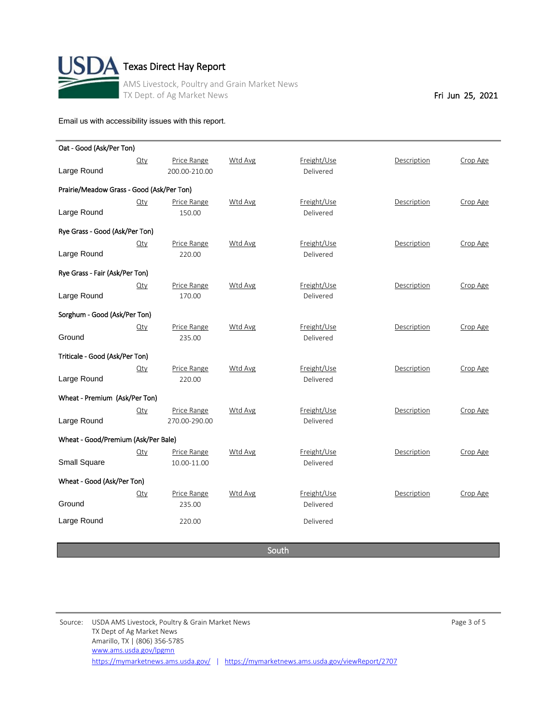

| Oat - Good (Ask/Per Ton)                  |            |               |         |             |             |          |
|-------------------------------------------|------------|---------------|---------|-------------|-------------|----------|
|                                           | $Q$ ty     | Price Range   | Wtd Avg | Freight/Use | Description | Crop Age |
| Large Round                               |            | 200.00-210.00 |         | Delivered   |             |          |
| Prairie/Meadow Grass - Good (Ask/Per Ton) |            |               |         |             |             |          |
|                                           | $Q$ ty     | Price Range   | Wtd Avg | Freight/Use | Description | Crop Age |
| Large Round                               |            | 150.00        |         | Delivered   |             |          |
| Rye Grass - Good (Ask/Per Ton)            |            |               |         |             |             |          |
|                                           | $Q$ ty     | Price Range   | Wtd Avg | Freight/Use | Description | Crop Age |
| Large Round                               |            | 220.00        |         | Delivered   |             |          |
| Rye Grass - Fair (Ask/Per Ton)            |            |               |         |             |             |          |
|                                           | <u>Qty</u> | Price Range   | Wtd Avg | Freight/Use | Description | Crop Age |
| Large Round                               |            | 170.00        |         | Delivered   |             |          |
| Sorghum - Good (Ask/Per Ton)              |            |               |         |             |             |          |
|                                           | $Q$ ty     | Price Range   | Wtd Avg | Freight/Use | Description | Crop Age |
| Ground                                    |            | 235.00        |         | Delivered   |             |          |
| Triticale - Good (Ask/Per Ton)            |            |               |         |             |             |          |
|                                           | <u>Qty</u> | Price Range   | Wtd Avg | Freight/Use | Description | Crop Age |
| Large Round                               |            | 220.00        |         | Delivered   |             |          |
| Wheat - Premium (Ask/Per Ton)             |            |               |         |             |             |          |
|                                           | $Q$ ty     | Price Range   | Wtd Avg | Freight/Use | Description | Crop Age |
| Large Round                               |            | 270.00-290.00 |         | Delivered   |             |          |
| Wheat - Good/Premium (Ask/Per Bale)       |            |               |         |             |             |          |
|                                           | Qty        | Price Range   | Wtd Avg | Freight/Use | Description | Crop Age |
| <b>Small Square</b>                       |            | 10.00-11.00   |         | Delivered   |             |          |
| Wheat - Good (Ask/Per Ton)                |            |               |         |             |             |          |
|                                           | $Q$ ty     | Price Range   | Wtd Avg | Freight/Use | Description | Crop Age |
| Ground                                    |            | 235.00        |         | Delivered   |             |          |
| Large Round                               |            | 220.00        |         | Delivered   |             |          |

South

Source: USDA AMS Livestock, Poultry & Grain Market News Page 3 of 5 TX Dept of Ag Market News Amarillo, TX | (806) 356-5785 <https://mymarketnews.ams.usda.gov/> | <https://mymarketnews.ams.usda.gov/viewReport/2707> [www.ams.usda.gov/lpgmn](http://www.ams.usda.gov/lpgmn)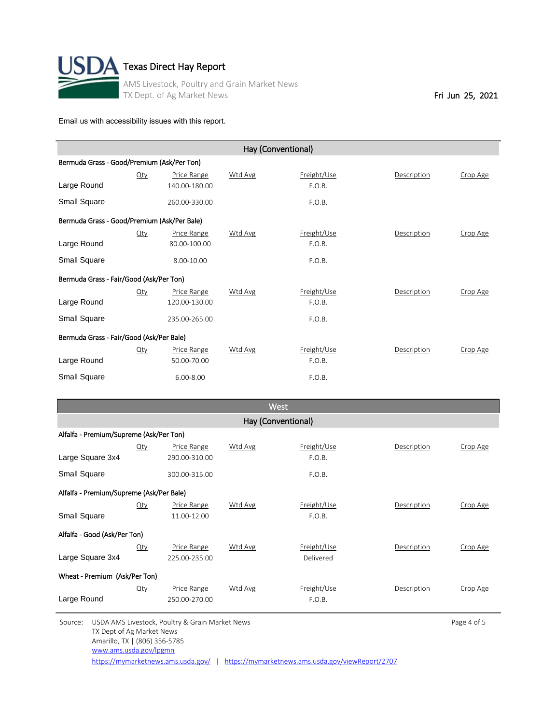

| Hay (Conventional)                          |        |               |         |             |             |          |  |  |
|---------------------------------------------|--------|---------------|---------|-------------|-------------|----------|--|--|
| Bermuda Grass - Good/Premium (Ask/Per Ton)  |        |               |         |             |             |          |  |  |
|                                             | $Q$ ty | Price Range   | Wtd Avg | Freight/Use | Description | Crop Age |  |  |
| Large Round                                 |        | 140.00-180.00 |         | F.O.B.      |             |          |  |  |
| Small Square                                |        | 260.00-330.00 |         | F.O.B.      |             |          |  |  |
| Bermuda Grass - Good/Premium (Ask/Per Bale) |        |               |         |             |             |          |  |  |
|                                             | $Q$ ty | Price Range   | Wtd Avg | Freight/Use | Description | Crop Age |  |  |
| Large Round                                 |        | 80.00-100.00  |         | F.O.B.      |             |          |  |  |
| Small Square                                |        | 8.00-10.00    |         | F.O.B.      |             |          |  |  |
| Bermuda Grass - Fair/Good (Ask/Per Ton)     |        |               |         |             |             |          |  |  |
|                                             | Qty    | Price Range   | Wtd Avg | Freight/Use | Description | Crop Age |  |  |
| Large Round                                 |        | 120.00-130.00 |         | F.O.B.      |             |          |  |  |
| Small Square                                |        | 235.00-265.00 |         | F.O.B.      |             |          |  |  |
| Bermuda Grass - Fair/Good (Ask/Per Bale)    |        |               |         |             |             |          |  |  |
|                                             | $Q$ ty | Price Range   | Wtd Avg | Freight/Use | Description | Crop Age |  |  |
| Large Round                                 |        | 50.00-70.00   |         | F.O.B.      |             |          |  |  |
| Small Square                                |        | $6.00 - 8.00$ |         | F.O.B.      |             |          |  |  |

| <b>West</b>                              |                                         |                    |         |             |             |          |  |  |  |
|------------------------------------------|-----------------------------------------|--------------------|---------|-------------|-------------|----------|--|--|--|
|                                          | Hay (Conventional)                      |                    |         |             |             |          |  |  |  |
|                                          | Alfalfa - Premium/Supreme (Ask/Per Ton) |                    |         |             |             |          |  |  |  |
|                                          | Qty                                     | Price Range        | Wtd Avg | Freight/Use | Description | Crop Age |  |  |  |
| Large Square 3x4                         |                                         | 290.00-310.00      |         | F.O.B.      |             |          |  |  |  |
| Small Square                             |                                         | 300.00-315.00      |         | F.O.B.      |             |          |  |  |  |
| Alfalfa - Premium/Supreme (Ask/Per Bale) |                                         |                    |         |             |             |          |  |  |  |
|                                          | Qty                                     | <b>Price Range</b> | Wtd Avg | Freight/Use | Description | Crop Age |  |  |  |
| Small Square                             |                                         | 11.00-12.00        |         | F.O.B.      |             |          |  |  |  |
| Alfalfa - Good (Ask/Per Ton)             |                                         |                    |         |             |             |          |  |  |  |
|                                          | <u>Qty</u>                              | Price Range        | Wtd Avg | Freight/Use | Description | Crop Age |  |  |  |
| Large Square 3x4                         |                                         | 225.00-235.00      |         | Delivered   |             |          |  |  |  |
| Wheat - Premium (Ask/Per Ton)            |                                         |                    |         |             |             |          |  |  |  |
|                                          | $Q$ ty                                  | Price Range        | Wtd Avg | Freight/Use | Description | Crop Age |  |  |  |
| Large Round                              |                                         | 250.00-270.00      |         | F.O.B.      |             |          |  |  |  |

Source: USDA AMS Livestock, Poultry & Grain Market News **Page 4 of 5** Page 4 of 5 TX Dept of Ag Market News Amarillo, TX | (806) 356-5785 [www.ams.usda.gov/lpgmn](http://www.ams.usda.gov/lpgmn)

<https://mymarketnews.ams.usda.gov/> | <https://mymarketnews.ams.usda.gov/viewReport/2707>